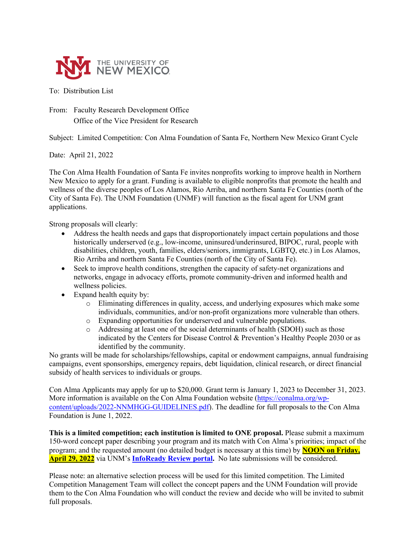

## To: Distribution List

From: Faculty Research Development Office Office of the Vice President for Research

Subject: Limited Competition: Con Alma Foundation of Santa Fe, Northern New Mexico Grant Cycle

Date: April 21, 2022

The Con Alma Health Foundation of Santa Fe invites nonprofits working to improve health in Northern New Mexico to apply for a grant. Funding is available to eligible nonprofits that promote the health and wellness of the diverse peoples of Los Alamos, Rio Arriba, and northern Santa Fe Counties (north of the City of Santa Fe). The UNM Foundation (UNMF) will function as the fiscal agent for UNM grant applications.

Strong proposals will clearly:

- Address the health needs and gaps that disproportionately impact certain populations and those historically underserved (e.g., low-income, uninsured/underinsured, BIPOC, rural, people with disabilities, children, youth, families, elders/seniors, immigrants, LGBTQ, etc.) in Los Alamos, Rio Arriba and northern Santa Fe Counties (north of the City of Santa Fe).
- Seek to improve health conditions, strengthen the capacity of safety-net organizations and networks, engage in advocacy efforts, promote community-driven and informed health and wellness policies.
- Expand health equity by:
	- o Eliminating differences in quality, access, and underlying exposures which make some individuals, communities, and/or non-profit organizations more vulnerable than others.
	- o Expanding opportunities for underserved and vulnerable populations.<br>  $\circ$  Addressing at least one of the social determinants of health (SDOH) s
	- Addressing at least one of the social determinants of health (SDOH) such as those indicated by the Centers for Disease Control & Prevention's Healthy People 2030 or as identified by the community.

No grants will be made for scholarships/fellowships, capital or endowment campaigns, annual fundraising campaigns, event sponsorships, emergency repairs, debt liquidation, clinical research, or direct financial subsidy of health services to individuals or groups.

Con Alma Applicants may apply for up to \$20,000. Grant term is January 1, 2023 to December 31, 2023. More information is available on the Con Alma Foundation website [\(https://conalma.org/wp](https://conalma.org/wp-content/uploads/2022-NNMHGG-GUIDELINES.pdf)[content/uploads/2022-NNMHGG-GUIDELINES.pdf\)](https://conalma.org/wp-content/uploads/2022-NNMHGG-GUIDELINES.pdf). The deadline for full proposals to the Con Alma Foundation is June 1, 2022.

**This is a limited competition; each institution is limited to ONE proposal.** Please submit a maximum 150-word concept paper describing your program and its match with Con Alma's priorities; impact of the program; and the requested amount (no detailed budget is necessary at this time) by **NOON on Friday, April 29, 2022** via UNM's **[InfoReady Review portal.](https://unm.infoready4.com/)** No late submissions will be considered.

Please note: an alternative selection process will be used for this limited competition. The Limited Competition Management Team will collect the concept papers and the UNM Foundation will provide them to the Con Alma Foundation who will conduct the review and decide who will be invited to submit full proposals.